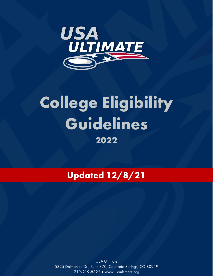

# **College Eligibility Guidelines 2022**

**Updated 12/8/21**

USA Ultimate 5825 Delmonico Dr., Suite 370, Colorado Springs, CO 80919 719-219-8322 ● www.usaultimate.org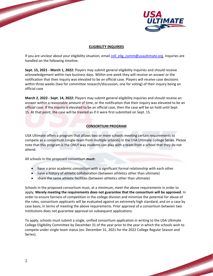

**PARTICIPAL AND INCOME.** 

#### **ELIGIBILITY INQUIRIES**

If you are unclear about your eligibility situation, email coll elig comm@usaultimate.org. Inquiries are handled on the following timeline:

**Sept. 15, 2021 - March 1, 2022:** Players may submit general eligibility inquiries and should receive acknowledgement within two business days. Within one week they will receive an answer or the notification that their inquiry was elevated to be an official case. Players will receive case decisions within three weeks (two for committee research/discussion, one for voting) of their inquiry being an official case

**March 2, 2022 - Sept. 14, 2022:** Players may submit general eligibility inquiries and should receive an answer within a reasonable amount of time, or the notification that their inquiry was elevated to be an official case. If the inquiry is elevated to be an official case, then the case will be on hold until Sept. 15. At that point, the case will be treated as if it were first submitted on Sept. 15.

## **CONSORTIUM PROGRAM**

USA Ultimate offers a program that allows two or more schools meeting certain requirements to compete as a consortium (single-team from multiple schools) in the USA Ultimate College Series. Please note that this program is the ONLY way students can play with a team from a school that they do not attend.

All schools in the proposed consortium **must:**

- have a prior academic consortium with a significant formal relationship with each other
- have a history of athletic collaboration (between athletics other than ultimate)
- share the same athletic facilities (between athletics other than ultimate)

Schools in the proposed consortium must, at a minimum, meet the above requirements in order to apply. **Merely meeting the requirements does not guarantee that the consortium will be approved**. In order to ensure fairness of competition in the college division and minimize the potential for abuse of the rules, consortium applicants will be evaluated against an extremely high standard, and on a case by case basis, in terms of meeting the above requirements. Prior approval of a consortium between two institutions does not guarantee approval on subsequent applications.

To apply, schools must submit a single, unified consortium application in writing to the USA Ultimate College Eligibility Committee by December 31 of the year prior to the year in which the schools wish to compete under single-team status (ex: December 31, 2021 for the 2022 College Regular Season and Series).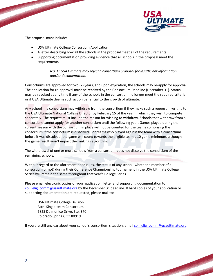

**CONTRACTOR** 

The proposal must include:

- USA Ultimate College Consortium Application
- A letter describing how all the schools in the proposal meet all of the requirements
- Supporting documentation providing evidence that all schools in the proposal meet the requirements

*NOTE: USA Ultimate may reject a consortium proposal for insufficient information and/or documentation.* 

Consortiums are approved for two (2) years, and upon expiration, the schools may re-apply for approval. The application for re-approval must be received by the Consortium Deadline (December 31). Status may be revoked at any time if any of the schools in the consortium no longer meet the required criteria, or if USA Ultimate deems such action beneficial to the growth of ultimate.

Any school in a consortium may withdraw from the consortium if they make such a request in writing to the USA Ultimate National College Director by February 15 of the year in which they wish to compete separately. The request must include the reason for wishing to withdraw. Schools that withdraw from a consortium cannot apply for another consortium until the following year. Games played during the current season with the consortium in place will not be counted for the teams comprising the consortium if the consortium is dissolved. For teams who played against the team with a consortium before it was dissolved, the game will count towards the eligible team's 10 game minimum, although the game result won't impact the rankings algorithm.

The withdrawal of one or more schools from a consortium does not dissolve the consortium of the remaining schools.

Without regard to the aforementioned rules, the status of any school (whether a member of a consortium or not) during their Conference Championship tournament in the USA Ultimate College Series will remain the same throughout that year's College Series.

Please email electronic copies of your application, letter and supporting documentation to coll elig comm@usaultimate.org by the December 31 deadline. If hard copies of your application or supporting documentation are requested, please mail to:

USA Ultimate College Division Attn: Single-team Consortium 5825 Delmonico Drive, Ste. 370 Colorado Springs, CO 80919

If you are still unclear about your school's consortium situation, email coll elig\_comm@usaultimate.org.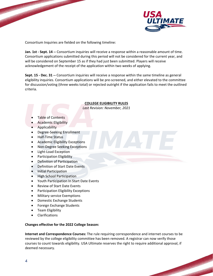

Consortium Inquiries are fielded on the following timeline:

**Jan. 1st - Sept. 14 --** Consortium inquiries will receive a response within a reasonable amount of time. Consortium applications submitted during this period will not be considered for the current year, and will be considered on September 15 as if they had just been submitted. Players will receive acknowledgement of the receipt of the application within two weeks of applying.

**Sept. 15 - Dec. 31 --** Consortium inquiries will receive a response within the same timeline as general eligibility inquiries. Consortium applications will be pre-screened, and either elevated to the committee for discussion/voting (three weeks total) or rejected outright if the application fails to meet the outlined criteria.

## **COLLEGE ELIGIBILITY RULES**

*Last Revision: November, 2021*

- Table of Contents
- Academic Eligibility
- Applicability
- Degree-Seeking Enrollment
- Half-Time Status
- Academic Eligibility Exceptions
- Non-Degree Seeking Exceptions
- Light-Load Exception
- Participation Eligibility
- Definition of Participation
- Definition of Start Date Events
- Initial Participation
- High School Participation
- Youth Participation In Start Date Events
- Review of Start Date Events
- Participation Eligibility Exceptions
- Military service Exemptions
- Domestic Exchange Students
- Foreign Exchange Students
- Team Eligibility
- Clarifications

## **Changes effective for the 2022 College Season:**

**Internet and Correspondence Courses:** The rule requiring correspondence and internet courses to be reviewed by the college eligibility committee has been removed. A registrar can now verify those courses to count towards eligibility. USA Ultimate reserves the right to require additional approval, if deemed necessary.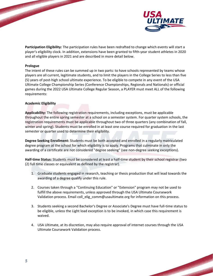

**Service Constitution** 

**Participation Eligibility:** The participation rules have been redrafted to change which events will start a player's eligibility clock. In addition, extensions have been granted to fifth-year student athletes in 2020 and all eligible players in 2021 and are described in more detail below.

#### **Prologue**

The intent of these rules can be summed up in two parts: to have schools represented by teams whose players are all current, legitimate students, and to limit the players in the College Series to less than five (5) years of post-high school ultimate experience. To be eligible to compete in any event of the USA Ultimate College Championship Series (Conference Championships, Regionals and Nationals) or official games during the 2022 USA Ultimate College Regular Season, a PLAYER must meet ALL of the following requirements:

#### **Academic Eligibility**

**Applicability:** The following registration requirements, including exceptions, must be applicable throughout the entire spring semester at a school on a semester system. For quarter system schools, the registration requirements must be applicable throughout two of three quarters (any combination of fall, winter and spring). Students must be enrolled in at least one course required for graduation in the last semester or quarter used to determine their eligibility.

**Degree Seeking Enrollment:** Students must be both accepted and enrolled in a regularly matriculated degree program at the school for which eligibility is to apply. Programs that culminate in only the awarding of a certificate are not considered "degree seeking" (see non-degree seeking exceptions).

**Half-time Status:** Students must be considered at least a half-time student by their school registrar (two (2) full time classes or equivalent as defined by the registrar).

- 1. Graduate students engaged in research, teaching or thesis production that will lead towards the awarding of a degree qualify under this rule.
- 2. Courses taken through a "Continuing Education" or "Extension" program may not be used to fulfill the above requirements, unless approved through the USA Ultimate Coursework Validation process. Email coll\_elig\_comm@usaultimate.org for information on this process.
- 3. Students seeking a second Bachelor's Degree or Associate's Degree must have full-time status to be eligible, unless the Light load exception is to be invoked, in which case this requirement is waived.
- 4. USA Ultimate, at its discretion, may also require approval of internet courses through the USA Ultimate Coursework Validation process.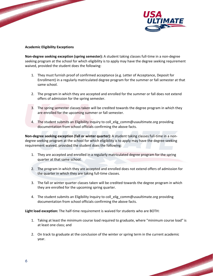

**Property Services** 

## **Academic Eligibility Exceptions**

**Non-degree seeking exception (spring semester):** A student taking classes full-time in a non-degree seeking program at the school for which eligibility is to apply may have the degree seeking requirement waived, provided the student does the following:

- 1. They must furnish proof of confirmed acceptance (e.g. Letter of Acceptance, Deposit for Enrollment) in a regularly matriculated degree program for the summer or fall semester at that same school.
- 2. The program in which they are accepted and enrolled for the summer or fall does not extend offers of admission for the spring semester.
- 3. The spring semester classes taken will be credited towards the degree program in which they are enrolled for the upcoming summer or fall semester.
- 4. The student submits an Eligibility Inquiry to coll\_elig\_comm@usaultimate.org providing documentation from school officials confirming the above facts.

**Non-degree seeking exception (fall or winter quarter):** A student taking classes full-time in a nondegree seeking program at the school for which eligibility is to apply may have the degree-seeking requirement waived, provided the student does the following:

- 1. They are accepted and enrolled in a regularly matriculated degree program for the spring quarter at that same school.
- 2. The program in which they are accepted and enrolled does not extend offers of admission for the quarter in which they are taking full-time classes.
- 3. The fall or winter quarter classes taken will be credited towards the degree program in which they are enrolled for the upcoming spring quarter.
- 4. The student submits an Eligibility Inquiry to coll\_elig\_comm@usaultimate.org providing documentation from school officials confirming the above facts.

**Light load exception:** The half-time requirement is waived for students who are BOTH:

- 1. Taking at least the minimum course load required to graduate, where "minimum course load" is at least one class; and
- 2. On track to graduate at the conclusion of the winter or spring term in the current academic year.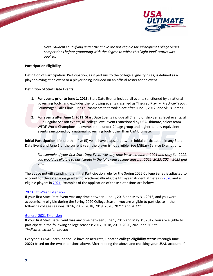

**BARBARA ARA** 

*Note: Students qualifying under the above are not eligible for subsequent College Series competitions before graduating with the degree to which this "light load" status was applied.* 

## **Participation Eligibility**

Definition of Participation: Participation, as it pertains to the college eligibility rules, is defined as a player playing at an event or a player being included on an official roster for an event.

#### **Definition of Start Date Events:**

- **1. For events prior to June 1, 2013:** Start Date Events include all events sanctioned by a national governing body, and excludes the following events classified as "Insured Play" -- Practice/Tryout; Scrimmage; Skills Clinic; Hat Tournaments that took place after June 1, 2012; and Skills Camps.
- **2. For events after June 1, 2013:** Start Date Events include all Championship Series level events, all Club Regular Season events, all college level events sanctioned by USA Ultimate, select team WFDF World Championship events in the under-24 age group and higher, or any equivalent events sanctioned by a national governing body other than USA Ultimate.

**Initial Participation:** If more than five (5) years have elapsed between initial participation in any Start Date Event and June 1 of the current year, the player is not eligible. See Military Service Exemptions.

*For example, if your first Start Date Event was any time between June 1, 2021 and May 31, 2022, you would be eligible to participate in the following college seasons: 2022, 2023, 2024, 2025 and 2026.* 

The above notwithstanding, the Initial Participation rule for the Spring 2022 College Series is adjusted to account for the extensions granted to **academically eligible** fifth-year student athletes in [2020](https://usaultimate.org/news/2020/04/usa-ultimate-extends-college-eligibility-to-fifth-year-student-athletes/) and all eligible players in [2021.](https://usaultimate.org/news/2020/12/competition-working-group-meets-to-discuss-and-make-decisions-on-2021-season/) Examples of the application of those extensions are below:

#### [2020 Fifth-Year Extension](https://usaultimate.org/news/2020/04/usa-ultimate-extends-college-eligibility-to-fifth-year-student-athletes/)

If your first Start Date Event was any time between June 1, 2015 and May 31, 2016, and you were academically eligible during the Spring 2020 College Season, you are eligible to participate in the following college seasons: 2016, 2017, 2018, 2019, 2020, 2021\* and 2022\*.

#### [General 2021 Extension](https://usaultimate.org/news/2020/12/competition-working-group-meets-to-discuss-and-make-decisions-on-2021-season/)

If your first Start Date Event was any time between June 1, 2016 and May 31, 2017, you are eligible to participate in the following college seasons: 2017, 2018, 2019, 2020, 2021 and 2022\*. *\*indicates extension season*

Everyone's USAU account should have an accurate, updated **college eligibility status** (through June 1, 2022) based on the two extensions above. After reading the above and checking your USAU account, if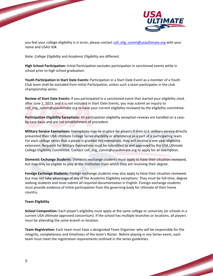



**REAL PROPERTY AND INCOME.** 

you feel your college eligibility is in error, please contac[t coll\\_elig\\_comm@usaultimate.org](mailto:coll_elig_comm@usaultimate.org) with your name and USAU ID#.

Note: *College Eligibility* and *Academic Eligibility* are different.

**High School Participation:** Initial Participation excludes participation in sanctioned events while in school prior to high school graduation.

**Youth Participation in Start Date Events:** Participation in a Start Date Event as a member of a Youth Club team shall be excluded from Initial Participation, unless such a team participates in the club championship series.

**Review of Start Date Events:** If you participated in a sanctioned event that started your eligibility clock after June 1, 2013, and it is not included in Start Date Events, you may submit an inquiry to coll\_elig\_comm@usaultimate.org to have your current eligibility reviewed by the eligibility committee.

**Participation Eligibility Exceptions:** All participation eligibility exception reviews are handled on a caseby-case basis and are not establishment of precedent.

**Military Service Exemptions:** Exemptions may be in place for players if their U.S. military service directly prevented their USA Ultimate College Series eligibility or attendance as a part of a participating team. For each college series that a player is granted this exemption, they will receive a one-year eligibility extension. Requests for Military Exemptions must be submitted to and approved by the USA Ultimate College Eligibility Committee. Contact coll\_elig\_comm@usaultimate.org to apply for an exemption.

**Domestic Exchange Students:** Domestic exchange students must apply to have their situation reviewed, but may only be eligible to play at the institution from which they are receiving their degree.

**Foreign Exchange Students:** Foreign exchange students may also apply to have their situation reviewed, but may not take advantage of any of the Academic Eligibility exceptions. They must be full-time, degree seeking students and must submit all required documentation in English. Foreign exchange students must provide evidence of initial participation from the governing body for Ultimate of their home country.

## **Team Eligibility**

**School Composition:** Each player's eligibility must apply at the same college or university (or schools in a current USA Ultimate approved consortium). If the school has multiple branches or locations, all players must be attending the same branch or location.

**Team Registration:** Each team must have a designated Team Organizer who will be responsible for the integrity, completeness and timeliness of the team's Roster. Before playing in any Series event, each team must meet the registration requirements outlined in the series guidelines.